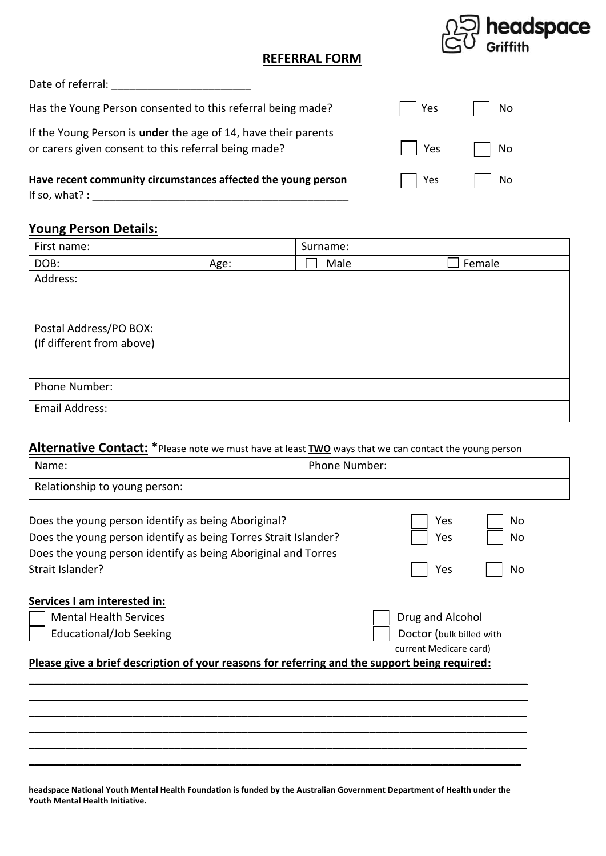

## **REFERRAL FORM**

Date of referral:

Has the Young Person consented to this referral being made?

If the Young Person is **under** the age of 14, have their parents or carers given consent to this referral being made?

Have recent community circumstances affected the young person If so, what?  $:$ 

## **Young Person Details:**

| First name:               |      | Surname: |        |
|---------------------------|------|----------|--------|
| DOB:                      | Age: | Male     | Female |
| Address:                  |      |          |        |
|                           |      |          |        |
|                           |      |          |        |
| Postal Address/PO BOX:    |      |          |        |
| (If different from above) |      |          |        |
|                           |      |          |        |
|                           |      |          |        |
| Phone Number:             |      |          |        |
| Email Address:            |      |          |        |

## Alternative Contact: \* Please note we must have at least **TWO** ways that we can contact the young person

| Name:                                                                                                                                                                                                       | <b>Phone Number:</b>                                                   |  |  |
|-------------------------------------------------------------------------------------------------------------------------------------------------------------------------------------------------------------|------------------------------------------------------------------------|--|--|
| Relationship to young person:                                                                                                                                                                               |                                                                        |  |  |
| Does the young person identify as being Aboriginal?<br>Does the young person identify as being Torres Strait Islander?<br>Does the young person identify as being Aboriginal and Torres<br>Strait Islander? | Yes<br>No<br>Yes<br>No<br>Yes<br>No                                    |  |  |
| Services I am interested in:<br><b>Mental Health Services</b><br>Educational/Job Seeking                                                                                                                    | Drug and Alcohol<br>Doctor (bulk billed with<br>current Medicare card) |  |  |
| Please give a brief description of your reasons for referring and the support being required:                                                                                                               |                                                                        |  |  |
|                                                                                                                                                                                                             |                                                                        |  |  |
|                                                                                                                                                                                                             |                                                                        |  |  |
|                                                                                                                                                                                                             |                                                                        |  |  |
|                                                                                                                                                                                                             |                                                                        |  |  |

**headspace National Youth Mental Health Foundation is funded by the Australian Government Department of Health under the Youth Mental Health Initiative.**

| Yes           | No |
|---------------|----|
| $\vert$   Yes | No |
| Yes           | No |